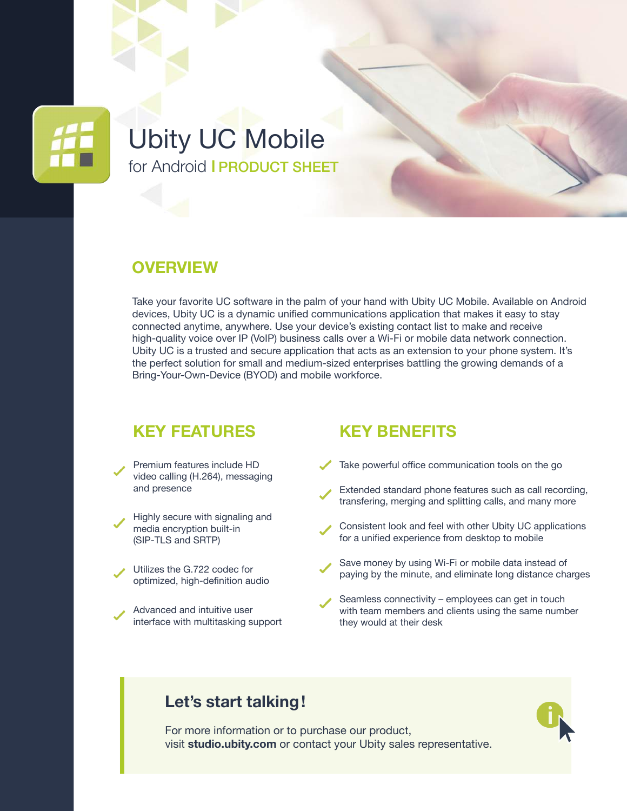

# Ubity UC Mobile for Android I PRODUCT SHEET

#### **OVERVIEW**

Take your favorite UC software in the palm of your hand with Ubity UC Mobile. Available on Android devices, Ubity UC is a dynamic unified communications application that makes it easy to stay connected anytime, anywhere. Use your device's existing contact list to make and receive high-quality voice over IP (VoIP) business calls over a Wi-Fi or mobile data network connection. Ubity UC is a trusted and secure application that acts as an extension to your phone system. It's the perfect solution for small and medium-sized enterprises battling the growing demands of a Bring-Your-Own-Device (BYOD) and mobile workforce.

#### **KEY FEATURES**

- Premium features include HD video calling (H.264), messaging and presence
- Highly secure with signaling and media encryption built-in (SIP-TLS and SRTP)
- Utilizes the G.722 codec for optimized, high-definition audio
- Advanced and intuitive user interface with multitasking support

#### **KEY BENEFITS**

- Take powerful office communication tools on the go
- Extended standard phone features such as call recording, transfering, merging and splitting calls, and many more
- Consistent look and feel with other Ubity UC applications for a unified experience from desktop to mobile
- Save money by using Wi-Fi or mobile data instead of paying by the minute, and eliminate long distance charges
- Seamless connectivity employees can get in touch with team members and clients using the same number they would at their desk

#### **Let's start talking!**

For more information or to purchase our product, visit **[studio.ubity.com](https://studio.ubity.com)** or contact your Ubity sales representative.